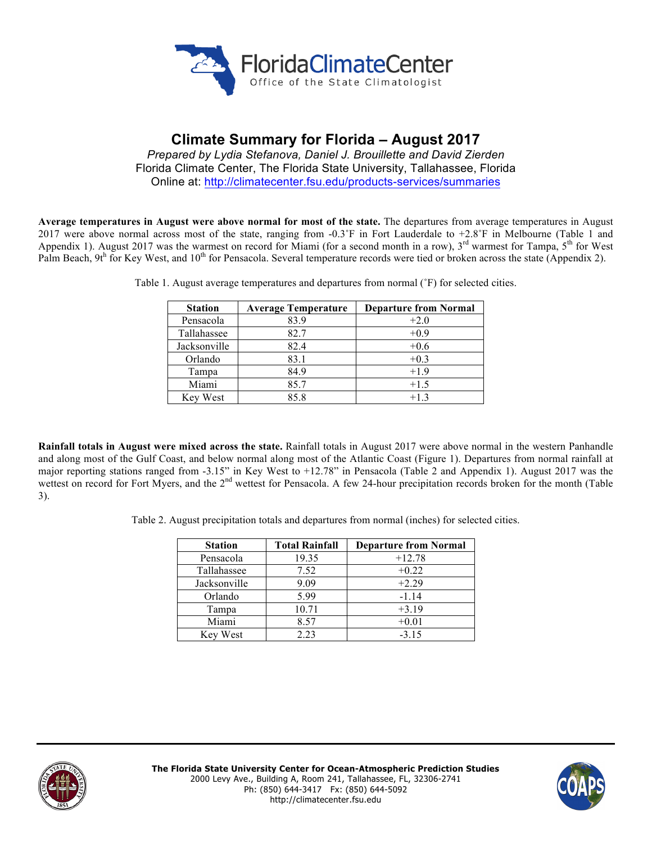

# **Climate Summary for Florida – August 2017**

*Prepared by Lydia Stefanova, Daniel J. Brouillette and David Zierden* Florida Climate Center, The Florida State University, Tallahassee, Florida Online at: http://climatecenter.fsu.edu/products-services/summaries

**Average temperatures in August were above normal for most of the state.** The departures from average temperatures in August 2017 were above normal across most of the state, ranging from -0.3˚F in Fort Lauderdale to +2.8˚F in Melbourne (Table 1 and Appendix 1). August 2017 was the warmest on record for Miami (for a second month in a row),  $3^{rd}$  warmest for Tampa,  $5^{th}$  for West Palm Beach,  $9t^h$  for Key West, and  $10^{th}$  for Pensacola. Several temperature records were tied or broken across the state (Appendix 2).

| <b>Station</b> | <b>Average Temperature</b> | <b>Departure from Normal</b> |
|----------------|----------------------------|------------------------------|
| Pensacola      | 83.9                       | $+2.0$                       |
| Tallahassee    | 82.7                       | $+0.9$                       |
| Jacksonville   | 82.4                       | $+0.6$                       |
| Orlando        | 83.1                       | $+0.3$                       |
| Tampa          | 84.9                       | $+1.9$                       |
| Miami          | 85.7                       | $+1.5$                       |
| Key West       | 85.8                       | $+1.3$                       |

Table 1. August average temperatures and departures from normal (˚F) for selected cities.

**Rainfall totals in August were mixed across the state.** Rainfall totals in August 2017 were above normal in the western Panhandle and along most of the Gulf Coast, and below normal along most of the Atlantic Coast (Figure 1). Departures from normal rainfall at major reporting stations ranged from -3.15" in Key West to +12.78" in Pensacola (Table 2 and Appendix 1). August 2017 was the wettest on record for Fort Myers, and the 2<sup>nd</sup> wettest for Pensacola. A few 24-hour precipitation records broken for the month (Table 3).

Table 2. August precipitation totals and departures from normal (inches) for selected cities.

| <b>Station</b> | <b>Total Rainfall</b> | <b>Departure from Normal</b> |
|----------------|-----------------------|------------------------------|
| Pensacola      | 19.35                 | $+12.78$                     |
| Tallahassee    | 7.52                  | $+0.22$                      |
| Jacksonville   | 9.09                  | $+2.29$                      |
| Orlando        | 5.99                  | $-1.14$                      |
| Tampa          | 10.71                 | $+3.19$                      |
| Miami          | 8.57                  | $+0.01$                      |
| Key West       | 2.23                  | $-3.15$                      |



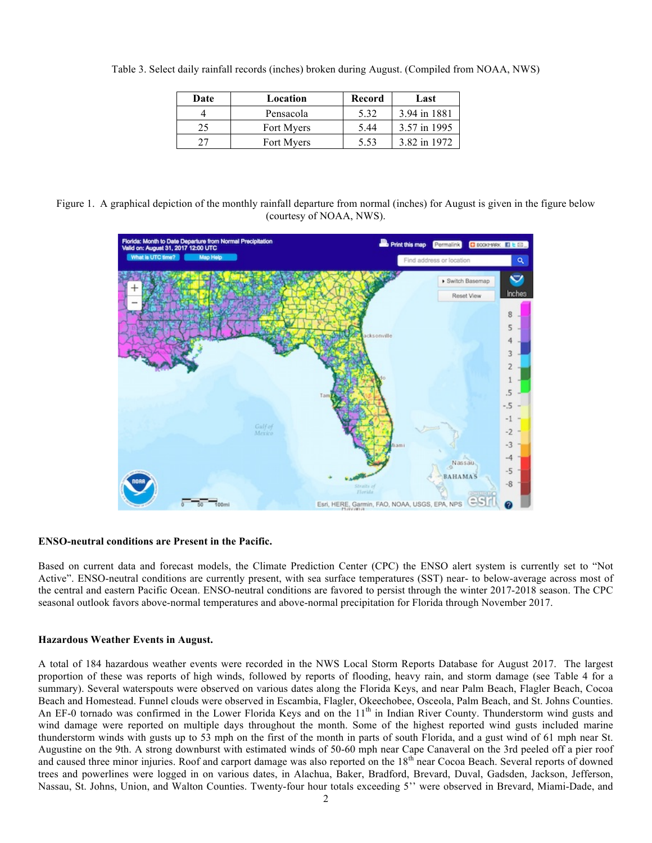Table 3. Select daily rainfall records (inches) broken during August. (Compiled from NOAA, NWS)

| Date | Location   | Record | Last         |
|------|------------|--------|--------------|
|      | Pensacola  | 5.32   | 3.94 in 1881 |
| 25   | Fort Myers | 5.44   | 3.57 in 1995 |
|      | Fort Myers | 5.53   | 3 82 in 1972 |

Figure 1. A graphical depiction of the monthly rainfall departure from normal (inches) for August is given in the figure below (courtesy of NOAA, NWS).



### **ENSO-neutral conditions are Present in the Pacific.**

Based on current data and forecast models, the Climate Prediction Center (CPC) the ENSO alert system is currently set to "Not Active". ENSO-neutral conditions are currently present, with sea surface temperatures (SST) near- to below-average across most of the central and eastern Pacific Ocean. ENSO-neutral conditions are favored to persist through the winter 2017-2018 season. The CPC seasonal outlook favors above-normal temperatures and above-normal precipitation for Florida through November 2017.

### **Hazardous Weather Events in August.**

A total of 184 hazardous weather events were recorded in the NWS Local Storm Reports Database for August 2017. The largest proportion of these was reports of high winds, followed by reports of flooding, heavy rain, and storm damage (see Table 4 for a summary). Several waterspouts were observed on various dates along the Florida Keys, and near Palm Beach, Flagler Beach, Cocoa Beach and Homestead. Funnel clouds were observed in Escambia, Flagler, Okeechobee, Osceola, Palm Beach, and St. Johns Counties. An EF-0 tornado was confirmed in the Lower Florida Keys and on the  $11<sup>th</sup>$  in Indian River County. Thunderstorm wind gusts and wind damage were reported on multiple days throughout the month. Some of the highest reported wind gusts included marine thunderstorm winds with gusts up to 53 mph on the first of the month in parts of south Florida, and a gust wind of 61 mph near St. Augustine on the 9th. A strong downburst with estimated winds of 50-60 mph near Cape Canaveral on the 3rd peeled off a pier roof and caused three minor injuries. Roof and carport damage was also reported on the 18<sup>th</sup> near Cocoa Beach. Several reports of downed trees and powerlines were logged in on various dates, in Alachua, Baker, Bradford, Brevard, Duval, Gadsden, Jackson, Jefferson, Nassau, St. Johns, Union, and Walton Counties. Twenty-four hour totals exceeding 5'' were observed in Brevard, Miami-Dade, and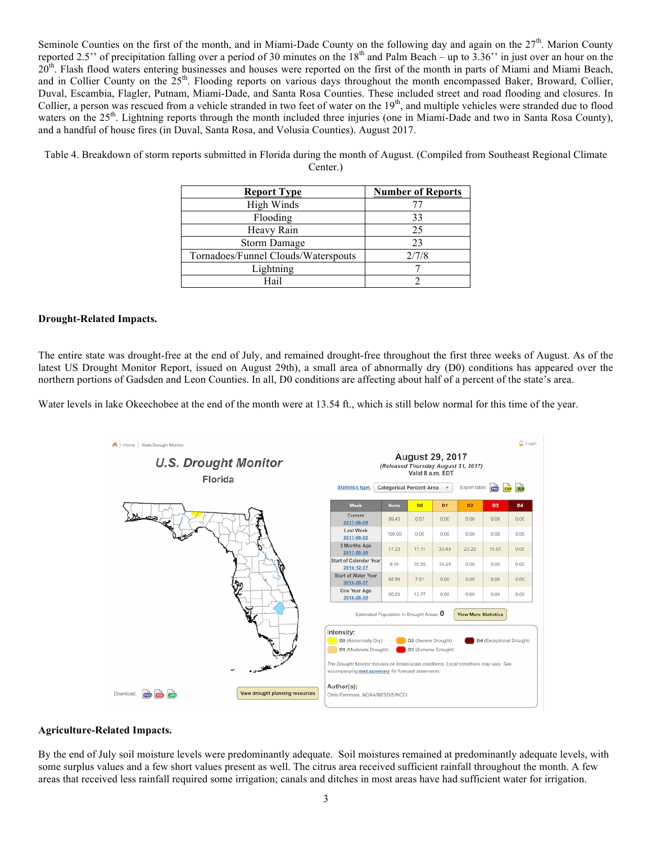Seminole Counties on the first of the month, and in Miami-Dade County on the following day and again on the  $27<sup>th</sup>$ . Marion County reported 2.5" of precipitation falling over a period of 30 minutes on the  $18<sup>th</sup>$  and Palm Beach – up to  $3.36$ " in just over an hour on the 20<sup>th</sup>. Flash flood waters entering businesses and houses were reported on the first of the month in parts of Miami and Miami Beach, and in Collier County on the  $25<sup>th</sup>$ . Flooding reports on various days throughout the month encompassed Baker, Broward, Collier, Duval, Escambia, Flagler, Putnam, Miami-Dade, and Santa Rosa Counties. These included street and road flooding and closures. In Collier, a person was rescued from a vehicle stranded in two feet of water on the 19<sup>th</sup>, and multiple vehicles were stranded due to flood waters on the 25<sup>th</sup>. Lightning reports through the month included three injuries (one in Miami-Dade and two in Santa Rosa County), and a handful of house fires (in Duval, Santa Rosa, and Volusia Counties). August 2017.

| <b>Report Type</b>                  | <b>Number of Reports</b> |
|-------------------------------------|--------------------------|
| High Winds                          |                          |
| Flooding                            | 33                       |
| Heavy Rain                          | 25                       |
| <b>Storm Damage</b>                 | 23                       |
| Tornadoes/Funnel Clouds/Waterspouts | 2/7/8                    |
| Lightning                           |                          |
| Hail                                |                          |

Table 4. Breakdown of storm reports submitted in Florida during the month of August. (Compiled from Southeast Regional Climate Center.)

### **Drought-Related Impacts.**

The entire state was drought-free at the end of July, and remained drought-free throughout the first three weeks of August. As of the latest US Drought Monitor Report, issued on August 29th), a small area of abnormally dry (D0) conditions has appeared over the northern portions of Gadsden and Leon Counties. In all, D0 conditions are affecting about half of a percent of the state's area.

Water levels in lake Okeechobee at the end of the month were at 13.54 ft., which is still below normal for this time of the year.



### **Agriculture-Related Impacts.**

By the end of July soil moisture levels were predominantly adequate. Soil moistures remained at predominantly adequate levels, with some surplus values and a few short values present as well. The citrus area received sufficient rainfall throughout the month. A few areas that received less rainfall required some irrigation; canals and ditches in most areas have had sufficient water for irrigation.